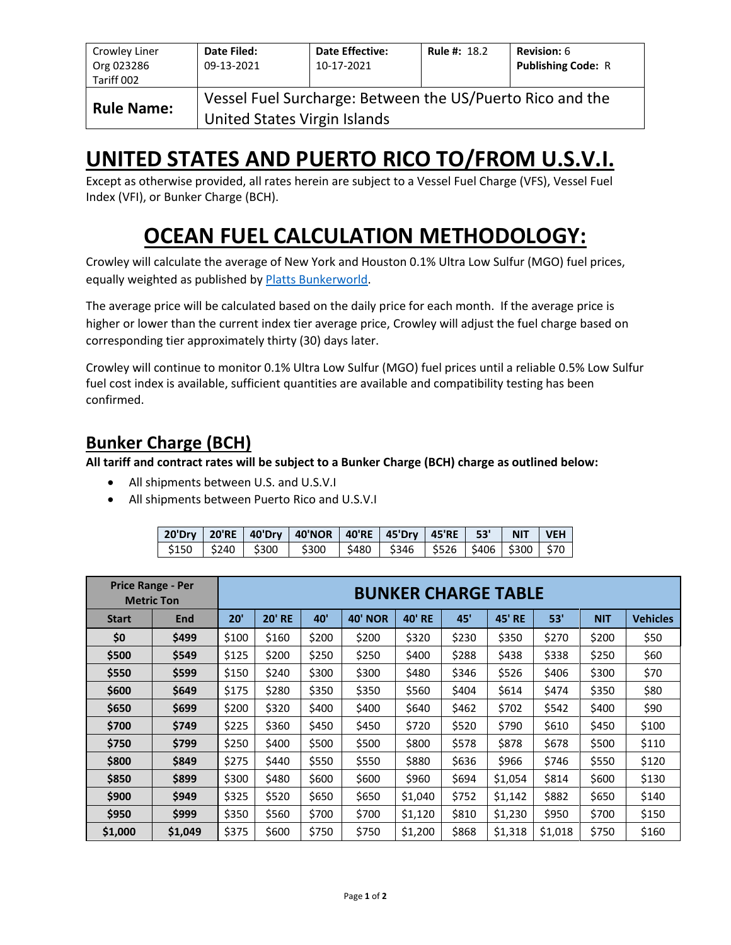| Crowley Liner<br>Org 023286<br>Tariff 002 | Date Filed:<br>09-13-2021                                                                 | <b>Date Effective:</b><br>10-17-2021 | <b>Rule #: 18.2</b> | <b>Revision: 6</b><br><b>Publishing Code: R</b> |  |  |  |  |
|-------------------------------------------|-------------------------------------------------------------------------------------------|--------------------------------------|---------------------|-------------------------------------------------|--|--|--|--|
| <b>Rule Name:</b>                         | Vessel Fuel Surcharge: Between the US/Puerto Rico and the<br>United States Virgin Islands |                                      |                     |                                                 |  |  |  |  |

## **UNITED STATES AND PUERTO RICO TO/FROM U.S.V.I.**

Except as otherwise provided, all rates herein are subject to a Vessel Fuel Charge (VFS), Vessel Fuel Index (VFI), or Bunker Charge (BCH).

# **OCEAN FUEL CALCULATION METHODOLOGY:**

Crowley will calculate the average of New York and Houston 0.1% Ultra Low Sulfur (MGO) fuel prices, equally weighted as published b[y Platts Bunkerworld.](https://www.bunkerworld.com/)

The average price will be calculated based on the daily price for each month. If the average price is higher or lower than the current index tier average price, Crowley will adjust the fuel charge based on corresponding tier approximately thirty (30) days later.

Crowley will continue to monitor 0.1% Ultra Low Sulfur (MGO) fuel prices until a reliable 0.5% Low Sulfur fuel cost index is available, sufficient quantities are available and compatibility testing has been confirmed.

### **Bunker Charge (BCH)**

**All tariff and contract rates will be subject to a Bunker Charge (BCH) charge as outlined below:**

- All shipments between U.S. and U.S.V.I
- All shipments between Puerto Rico and U.S.V.I

|  | 20'Dry   20'RE   40'Dry   40'NOR   40'RE   45'Dry   45'RE   53'   NIT        |  |  | I VEH I |
|--|------------------------------------------------------------------------------|--|--|---------|
|  | \$150   \$240   \$300   \$300   \$480   \$346   \$526   \$406   \$300   \$70 |  |  |         |

|              | <b>Price Range - Per</b><br><b>Metric Ton</b> |       | <b>BUNKER CHARGE TABLE</b> |       |                |               |       |               |         |            |                 |
|--------------|-----------------------------------------------|-------|----------------------------|-------|----------------|---------------|-------|---------------|---------|------------|-----------------|
| <b>Start</b> | End                                           | 20'   | <b>20' RE</b>              | 40'   | <b>40' NOR</b> | <b>40' RE</b> | 45'   | <b>45' RE</b> | 53'     | <b>NIT</b> | <b>Vehicles</b> |
| \$0          | \$499                                         | \$100 | \$160                      | \$200 | \$200          | \$320         | \$230 | \$350         | \$270   | \$200      | \$50            |
| \$500        | \$549                                         | \$125 | \$200                      | \$250 | \$250          | \$400         | \$288 | \$438         | \$338   | \$250      | \$60            |
| \$550        | \$599                                         | \$150 | \$240                      | \$300 | \$300          | \$480         | \$346 | \$526         | \$406   | \$300      | \$70            |
| \$600        | \$649                                         | \$175 | \$280                      | \$350 | \$350          | \$560         | \$404 | \$614         | \$474   | \$350      | \$80            |
| \$650        | \$699                                         | \$200 | \$320                      | \$400 | \$400          | \$640         | \$462 | \$702         | \$542   | \$400      | \$90            |
| \$700        | \$749                                         | \$225 | \$360                      | \$450 | \$450          | \$720         | \$520 | \$790         | \$610   | \$450      | \$100           |
| \$750        | \$799                                         | \$250 | \$400                      | \$500 | \$500          | \$800         | \$578 | \$878         | \$678   | \$500      | \$110           |
| \$800        | \$849                                         | \$275 | \$440                      | \$550 | \$550          | \$880         | \$636 | \$966         | \$746   | \$550      | \$120           |
| \$850        | \$899                                         | \$300 | \$480                      | \$600 | \$600          | \$960         | \$694 | \$1,054       | \$814   | \$600      | \$130           |
| \$900        | \$949                                         | \$325 | \$520                      | \$650 | \$650          | \$1,040       | \$752 | \$1,142       | \$882   | \$650      | \$140           |
| \$950        | \$999                                         | \$350 | \$560                      | \$700 | \$700          | \$1,120       | \$810 | \$1,230       | \$950   | \$700      | \$150           |
| \$1,000      | \$1,049                                       | \$375 | \$600                      | \$750 | \$750          | \$1,200       | \$868 | \$1,318       | \$1,018 | \$750      | \$160           |